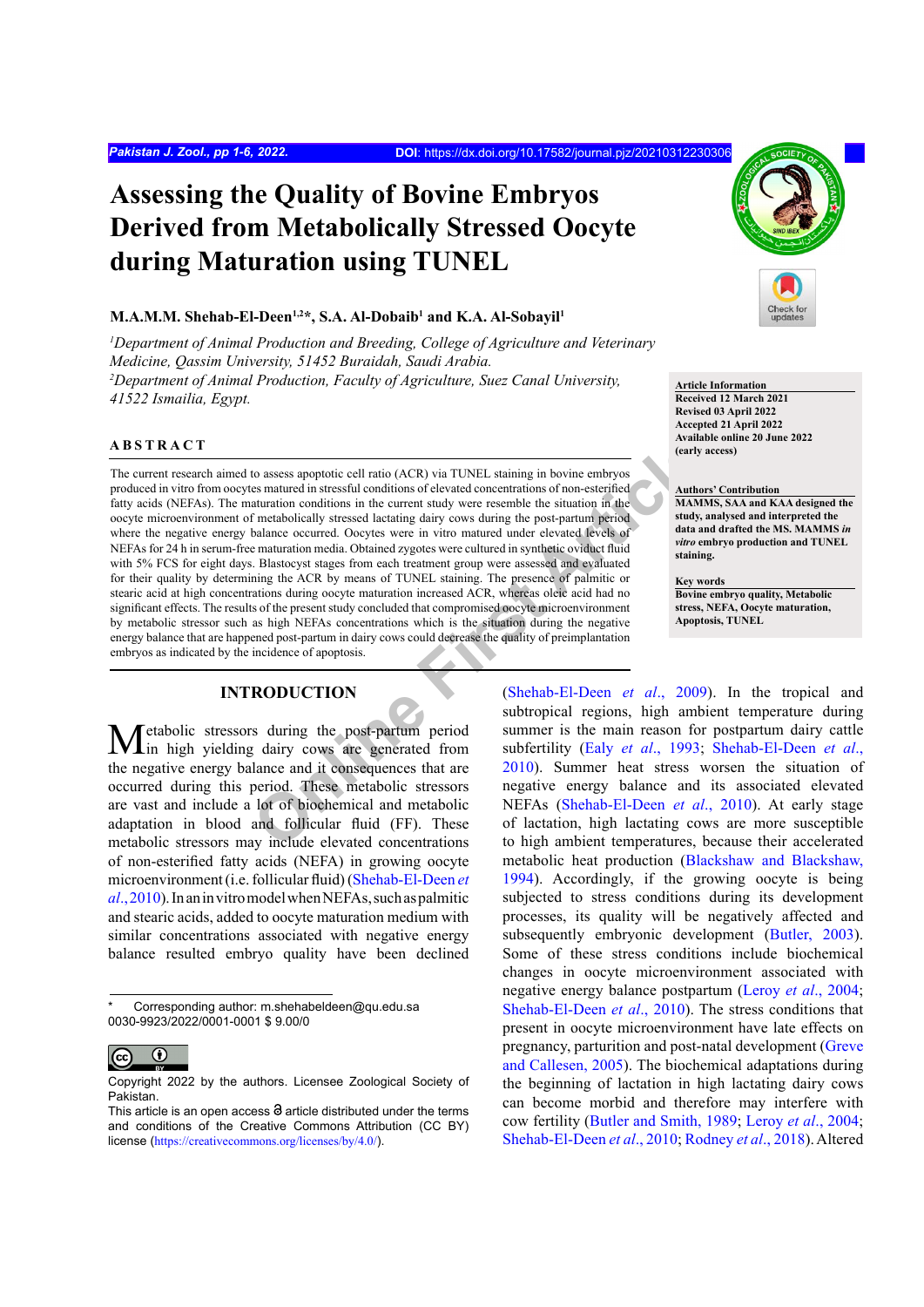# **Assessing the Quality of Bovine Embryos Derived from Metabolically Stressed Oocyte during Maturation using TUNEL**

### **M.A.M.M. Shehab-El-Deen1,2\*, S.A. Al-Dobaib1 and K.A. Al-Sobayil1**

*1 Department of Animal Production and Breeding, College of Agriculture and Veterinary Medicine, Qassim University, 51452 Buraidah, Saudi Arabia. 2 Department of Animal Production, Faculty of Agriculture, Suez Canal University, 41522 Ismailia, Egypt.* 

## **ABSTRACT**

to assess apoptotic cell ratio (ACR) via TUNEL staining in bovine embryos<br>
se matured in stressful conditions of elevated concentrations of non-estering<br>
aturation conditions in the current study were resemble the situatio The current research aimed to assess apoptotic cell ratio (ACR) via TUNEL staining in bovine embryos produced in vitro from oocytes matured in stressful conditions of elevated concentrations of non-esterified fatty acids (NEFAs). The maturation conditions in the current study were resemble the situation in the oocyte microenvironment of metabolically stressed lactating dairy cows during the post-partum period where the negative energy balance occurred. Oocytes were in vitro matured under elevated levels of NEFAs for 24 h in serum-free maturation media. Obtained zygotes were cultured in synthetic oviduct fluid with 5% FCS for eight days. Blastocyst stages from each treatment group were assessed and evaluated for their quality by determining the ACR by means of TUNEL staining. The presence of palmitic or stearic acid at high concentrations during oocyte maturation increased ACR, whereas oleic acid had no significant effects. The results of the present study concluded that compromised oocyte microenvironment by metabolic stressor such as high NEFAs concentrations which is the situation during the negative energy balance that are happened post-partum in dairy cows could decrease the quality of preimplantation embryos as indicated by the incidence of apoptosis.

## **INTRODUCTION**

etabolic stressors during the post-partum period in high yielding dairy cows are generated from the negative energy balance and it consequences that are occurred during this period. These metabolic stressors are vast and include a lot of biochemical and metabolic adaptation in blood and follicular fluid (FF). These metabolic stressors may include elevated concentrations of non-esterified fatty acids (NEFA) in growing oocyte microenvironment (i.e. follicular fluid) ([Shehab-El-Deen](#page-5-0) *et al*[., 2010\)](#page-5-0). In an in vitro model when NEFAs, such as palmitic and stearic acids, added to oocyte maturation medium with similar concentrations associated with negative energy balance resulted embryo quality have been declined

Corresponding author: m.shehabeldeen@qu.edu.sa 0030-9923/2022/0001-0001 \$ 9.00/0



Copyright 2022 by the authors. Licensee Zoological Society of Pakistan.



**Article Information Received 12 March 2021 Revised 03 April 2022 Accepted 21 April 2022 Available online 20 June 2022 (early access)**

#### **Authors' Contribution**

**MAMMS, SAA and KAA designed the study, analysed and interpreted the data and drafted the MS. MAMMS** *in vitro* **embryo production and TUNEL staining.**

## **Key words**

**Bovine embryo quality, Metabolic stress, NEFA, Oocyte maturation, Apoptosis, TUNEL**

(Shehab-El-Deen *et al*., 2009). In the tropical and subtropical regions, high ambient temperature during summer is the main reason for postpartum dairy cattle subfertility (Ealy *et al*., 1993; [Shehab-El-Deen](#page-5-0) *et al*., 2010). Summer heat stress worsen the situation of negative energy balance and its associated elevated NEFAs (Shehab-El-Deen *et al*., 2010). At early stage of lactation, high lactating cows are more susceptible to high ambient temperatures, because their accelerated metabolic heat production ([Blackshaw and Blackshaw,](#page-4-1) [1994](#page-4-1)). Accordingly, if the growing oocyte is being subjected to stress conditions during its development processes, its quality will be negatively affected and subsequently embryonic development [\(Butler, 2003\)](#page-4-2). Some of these stress conditions include biochemical changes in oocyte microenvironment associated with negative energy balance postpartum (Leroy *et al*[., 2004;](#page-4-3) [Shehab-El-Deen](#page-5-0) *et al*., 2010). The stress conditions that present in oocyte microenvironment have late effects on pregnancy, parturition and post-natal development ([Greve](#page-4-4) [and Callesen, 2005\)](#page-4-4). The biochemical adaptations during the beginning of lactation in high lactating dairy cows can become morbid and therefore may interfere with cow fertility [\(Butler and Smith, 1989](#page-4-5); Leroy *et al*[., 2004;](#page-4-6) [Shehab-El-Deen](#page-5-0) *et al*., 2010; [Rodney](#page-5-2) *et al*., 2018). Altered

This article is an open access  $\Theta$  article distributed under the terms and conditions of the Creative Commons Attribution (CC BY) license (<https://creativecommons.org/licenses/by/4.0/>).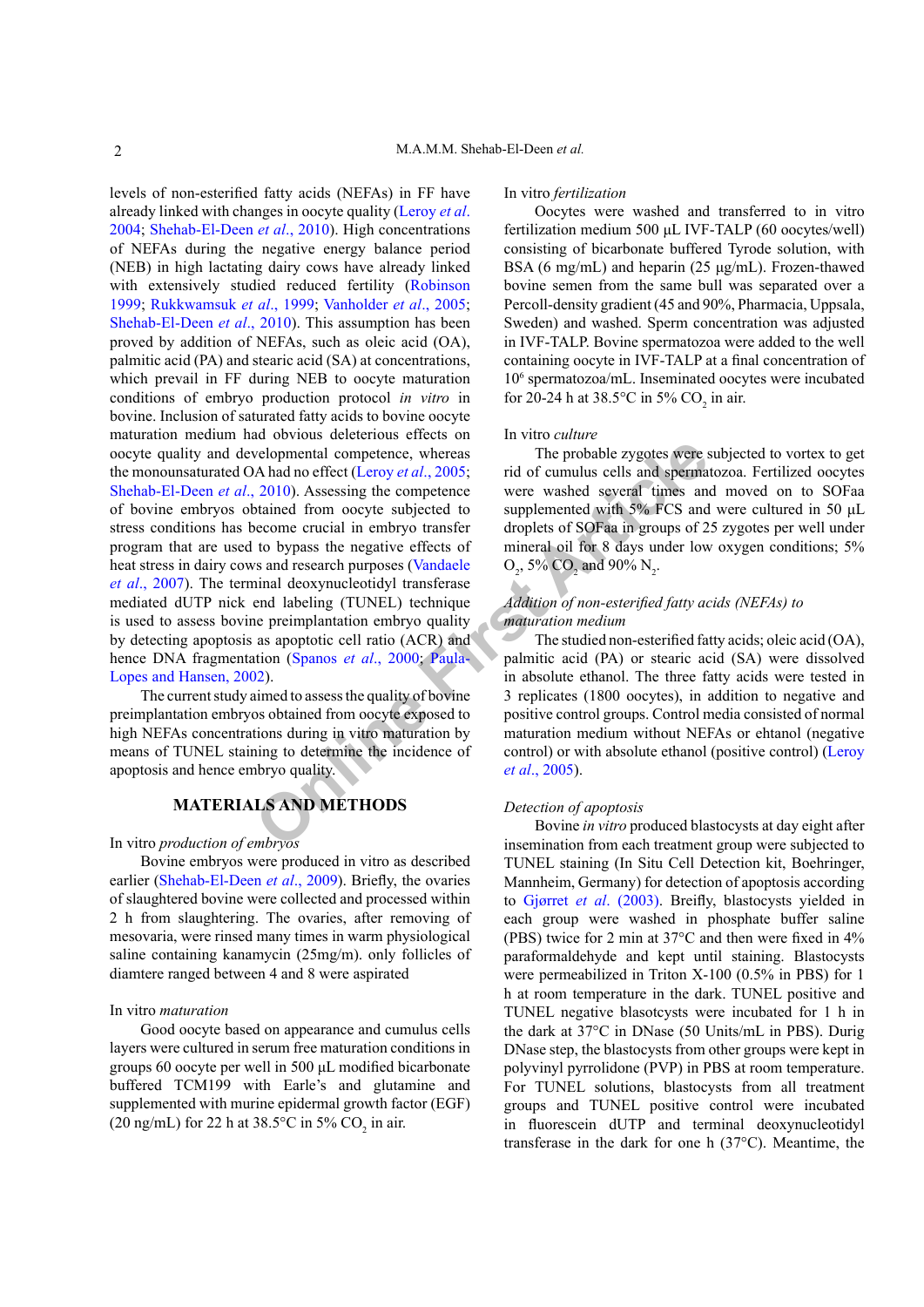**Example 18**<br> **CONFIGUATE ARTIVE SONGAGE SERVIDE SUBLICATE:**<br> **CONFIGUATE ARTIFULNIS CONFIDENTIAL**<br> **CONFIGUATE ARTIFULNIS CONFIDENCIAL**<br> **CONFIDENTIATIONS**<br> **CONFIDENTIATIONS**<br> **CONFIDENTIATIONS**<br> **CONFIDENTIATIONS**<br> **CON** levels of non-esterified fatty acids (NEFAs) in FF have already linked with changes in oocyte quality [\(Leroy](#page-4-3) *et al*. [2004;](#page-4-3) [Shehab-El-Deen](#page-5-0) *et al*., 2010). High concentrations of NEFAs during the negative energy balance period (NEB) in high lactating dairy cows have already linked with extensively studied reduced fertility [\(Robinson](#page-5-3) [1999;](#page-5-3) [Rukkwamsuk](#page-5-4) *et al*., 1999; [Vanholder](#page-5-5) *et al*., 2005; [Shehab-El-Deen](#page-5-0) *et al*., 2010). This assumption has been proved by addition of NEFAs, such as oleic acid (OA), palmitic acid (PA) and stearic acid (SA) at concentrations, which prevail in FF during NEB to oocyte maturation conditions of embryo production protocol *in vitro* in bovine. Inclusion of saturated fatty acids to bovine oocyte maturation medium had obvious deleterious effects on oocyte quality and developmental competence, whereas the monounsaturated OA had no effect (Leroy *et al*., 2005; [Shehab-El-Deen](#page-5-0) *et al*., 2010). Assessing the competence of bovine embryos obtained from oocyte subjected to stress conditions has become crucial in embryo transfer program that are used to bypass the negative effects of heat stress in dairy cows and research purposes (Vandaele *et al*[., 2007\)](#page-5-6). The terminal deoxynucleotidyl transferase mediated dUTP nick end labeling (TUNEL) technique is used to assess bovine preimplantation embryo quality by detecting apoptosis as apoptotic cell ratio (ACR) and hence DNA fragmentation (Spanos *et al*., 2000; Paula-[Lopes and Hansen, 2002\)](#page-5-8).

The current study aimed to assess the quality of bovine preimplantation embryos obtained from oocyte exposed to high NEFAs concentrations during in vitro maturation by means of TUNEL staining to determine the incidence of apoptosis and hence embryo quality.

# **MATERIALS AND METHODS**

In vitro *production of embryos*

Bovine embryos were produced in vitro as described earlier ([Shehab-El-Deen](#page-5-1) *et al*., 2009). Briefly, the ovaries of slaughtered bovine were collected and processed within 2 h from slaughtering. The ovaries, after removing of mesovaria, were rinsed many times in warm physiological saline containing kanamycin (25mg/m). only follicles of diamtere ranged between 4 and 8 were aspirated

## In vitro *maturation*

Good oocyte based on appearance and cumulus cells layers were cultured in serum free maturation conditions in groups 60 oocyte per well in 500 μL modified bicarbonate buffered TCM199 with Earle's and glutamine and supplemented with murine epidermal growth factor (EGF) (20 ng/mL) for 22 h at  $38.5^{\circ}$ C in  $5\%$  CO<sub>2</sub> in air.

#### In vitro *fertilization*

Oocytes were washed and transferred to in vitro fertilization medium 500 μL IVF-TALP (60 oocytes/well) consisting of bicarbonate buffered Tyrode solution, with BSA (6 mg/mL) and heparin (25 μg/mL). Frozen-thawed bovine semen from the same bull was separated over a Percoll-density gradient (45 and 90%, Pharmacia, Uppsala, Sweden) and washed. Sperm concentration was adjusted in IVF-TALP. Bovine spermatozoa were added to the well containing oocyte in IVF-TALP at a final concentration of 106 spermatozoa/mL. Inseminated oocytes were incubated for 20-24 h at 38.5°C in 5% CO<sub>2</sub> in air.

## In vitro *culture*

The probable zygotes were subjected to vortex to get rid of cumulus cells and spermatozoa. Fertilized oocytes were washed several times and moved on to SOFaa supplemented with 5% FCS and were cultured in 50 μL droplets of SOFaa in groups of 25 zygotes per well under mineral oil for 8 days under low oxygen conditions; 5%  $O_2$ , 5%  $CO_2$  and 90%  $N_2$ .

# *Addition of non-esterified fatty acids (NEFAs) to maturation medium*

The studied non-esterified fatty acids; oleic acid (OA), palmitic acid (PA) or stearic acid (SA) were dissolved in absolute ethanol. The three fatty acids were tested in 3 replicates (1800 oocytes), in addition to negative and positive control groups. Control media consisted of normal maturation medium without NEFAs or ehtanol (negative control) or with absolute ethanol (positive control) [\(Leroy](#page-4-3) *et al*., 2005).

#### *Detection of apoptosis*

Bovine *in vitro* produced blastocysts at day eight after insemination from each treatment group were subjected to TUNEL staining (In Situ Cell Detection kit, Boehringer, Mannheim, Germany) for detection of apoptosis according to Gjørret *et al*. (2003). Breifly, blastocysts yielded in each group were washed in phosphate buffer saline (PBS) twice for 2 min at 37°C and then were fixed in 4% paraformaldehyde and kept until staining. Blastocysts were permeabilized in Triton X-100 (0.5% in PBS) for 1 h at room temperature in the dark. TUNEL positive and TUNEL negative blasotcysts were incubated for 1 h in the dark at 37°C in DNase (50 Units/mL in PBS). Durig DNase step, the blastocysts from other groups were kept in polyvinyl pyrrolidone (PVP) in PBS at room temperature. For TUNEL solutions, blastocysts from all treatment groups and TUNEL positive control were incubated in fluorescein dUTP and terminal deoxynucleotidyl transferase in the dark for one h (37°C). Meantime, the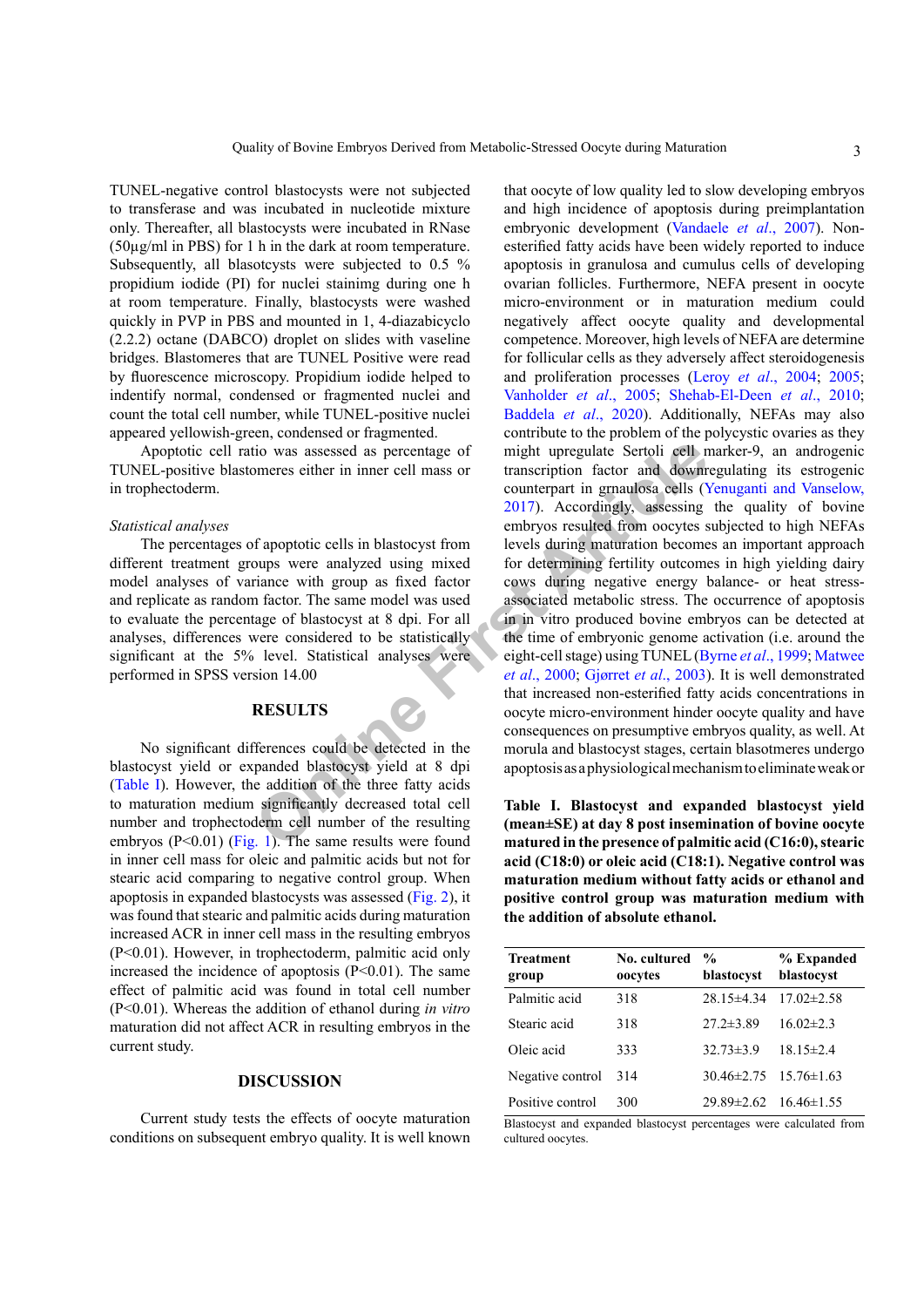TUNEL-negative control blastocysts were not subjected to transferase and was incubated in nucleotide mixture only. Thereafter, all blastocysts were incubated in RNase (50µg/ml in PBS) for 1 h in the dark at room temperature. Subsequently, all blasotcysts were subjected to 0.5 % propidium iodide (PI) for nuclei stainimg during one h at room temperature. Finally, blastocysts were washed quickly in PVP in PBS and mounted in 1, 4-diazabicyclo (2.2.2) octane (DABCO) droplet on slides with vaseline bridges. Blastomeres that are TUNEL Positive were read by fluorescence microscopy. Propidium iodide helped to indentify normal, condensed or fragmented nuclei and count the total cell number, while TUNEL-positive nuclei appeared yellowish-green, condensed or fragmented.

Apoptotic cell ratio was assessed as percentage of TUNEL-positive blastomeres either in inner cell mass or in trophectoderm.

#### *Statistical analyses*

The percentages of apoptotic cells in blastocyst from different treatment groups were analyzed using mixed model analyses of variance with group as fixed factor and replicate as random factor. The same model was used to evaluate the percentage of blastocyst at 8 dpi. For all analyses, differences were considered to be statistically significant at the 5% level. Statistical analyses were performed in SPSS version 14.00

## **RESULTS**

No significant differences could be detected in the blastocyst yield or expanded blastocyst yield at 8 dpi [\(Table I](#page-2-0)). However, the addition of the three fatty acids to maturation medium significantly decreased total cell number and trophectoderm cell number of the resulting embryos ( $P \le 0.01$ ) ([Fig. 1](#page-3-0)). The same results were found in inner cell mass for oleic and palmitic acids but not for stearic acid comparing to negative control group. When apoptosis in expanded blastocysts was assessed ([Fig. 2](#page-3-1)), it was found that stearic and palmitic acids during maturation increased ACR in inner cell mass in the resulting embryos (P<0.01). However, in trophectoderm, palmitic acid only increased the incidence of apoptosis  $(P<0.01)$ . The same effect of palmitic acid was found in total cell number (P<0.01). Whereas the addition of ethanol during *in vitro* maturation did not affect ACR in resulting embryos in the current study.

## **DISCUSSION**

Current study tests the effects of oocyte maturation conditions on subsequent embryo quality. It is well known

ity the same set of the same results are results and the mean and the presence of palmet are the same results are results are for the same model was used to the same model was used to the same model was used to the same mo that oocyte of low quality led to slow developing embryos and high incidence of apoptosis during preimplantation embryonic development [\(Vandaele](#page-5-6) *et al*., 2007). Nonesterified fatty acids have been widely reported to induce apoptosis in granulosa and cumulus cells of developing ovarian follicles. Furthermore, NEFA present in oocyte micro-environment or in maturation medium could negatively affect oocyte quality and developmental competence. Moreover, high levels of NEFA are determine for follicular cells as they adversely affect steroidogenesis and proliferation processes (Leroy *et al*[., 2004](#page-4-6); [2005](#page-4-3); [Vanholder](#page-5-5) *et al*., 2005; [Shehab-El-Deen](#page-5-0) *et al*., 2010; [Baddela](#page-4-7) *et al*., 2020). Additionally, NEFAs may also contribute to the problem of the polycystic ovaries as they might upregulate Sertoli cell marker-9, an androgenic transcription factor and downregulating its estrogenic counterpart in grnaulosa cells ([Yenuganti and Vanselow,](#page-5-9) 2017). Accordingly, assessing the quality of bovine embryos resulted from oocytes subjected to high NEFAs levels during maturation becomes an important approach for determining fertility outcomes in high yielding dairy cows during negative energy balance- or heat stressassociated metabolic stress. The occurrence of apoptosis in in vitro produced bovine embryos can be detected at the time of embryonic genome activation (i.e. around the eight-cell stage) using TUNEL ([Byrne](#page-4-8) *et al*., 1999; [Matwee](#page-4-9) *et al*., 2000; Gjørret *et al*., 2003). It is well demonstrated that increased non-esterified fatty acids concentrations in oocyte micro-environment hinder oocyte quality and have consequences on presumptive embryos quality, as well. At morula and blastocyst stages, certain blasotmeres undergo apoptosis as a physiological mechanism to eliminate weak or

<span id="page-2-0"></span>**Table I. Blastocyst and expanded blastocyst yield (mean±SE) at day 8 post insemination of bovine oocyte matured in the presence of palmitic acid (C16:0), stearic acid (C18:0) or oleic acid (C18:1). Negative control was maturation medium without fatty acids or ethanol and positive control group was maturation medium with the addition of absolute ethanol.**

| <b>Treatment</b><br>group | No. cultured<br>oocytes | $\frac{0}{0}$<br>blastocyst       | % Expanded<br>blastocyst |
|---------------------------|-------------------------|-----------------------------------|--------------------------|
| Palmitic acid             | 318                     | $28.15 \pm 4.34$                  | $17.02 \pm 2.58$         |
| Stearic acid              | 318                     | $27.2 \pm 3.89$                   | $16.02 \pm 2.3$          |
| Oleic acid                | 333                     | $32.73 \pm 3.9$                   | $18.15 \pm 2.4$          |
| Negative control          | 314                     | $30.46 \pm 2.75$ $15.76 \pm 1.63$ |                          |
| Positive control          | 300                     | $29.89 \pm 2.62$ 16.46 $\pm 1.55$ |                          |

Blastocyst and expanded blastocyst percentages were calculated from cultured oocytes.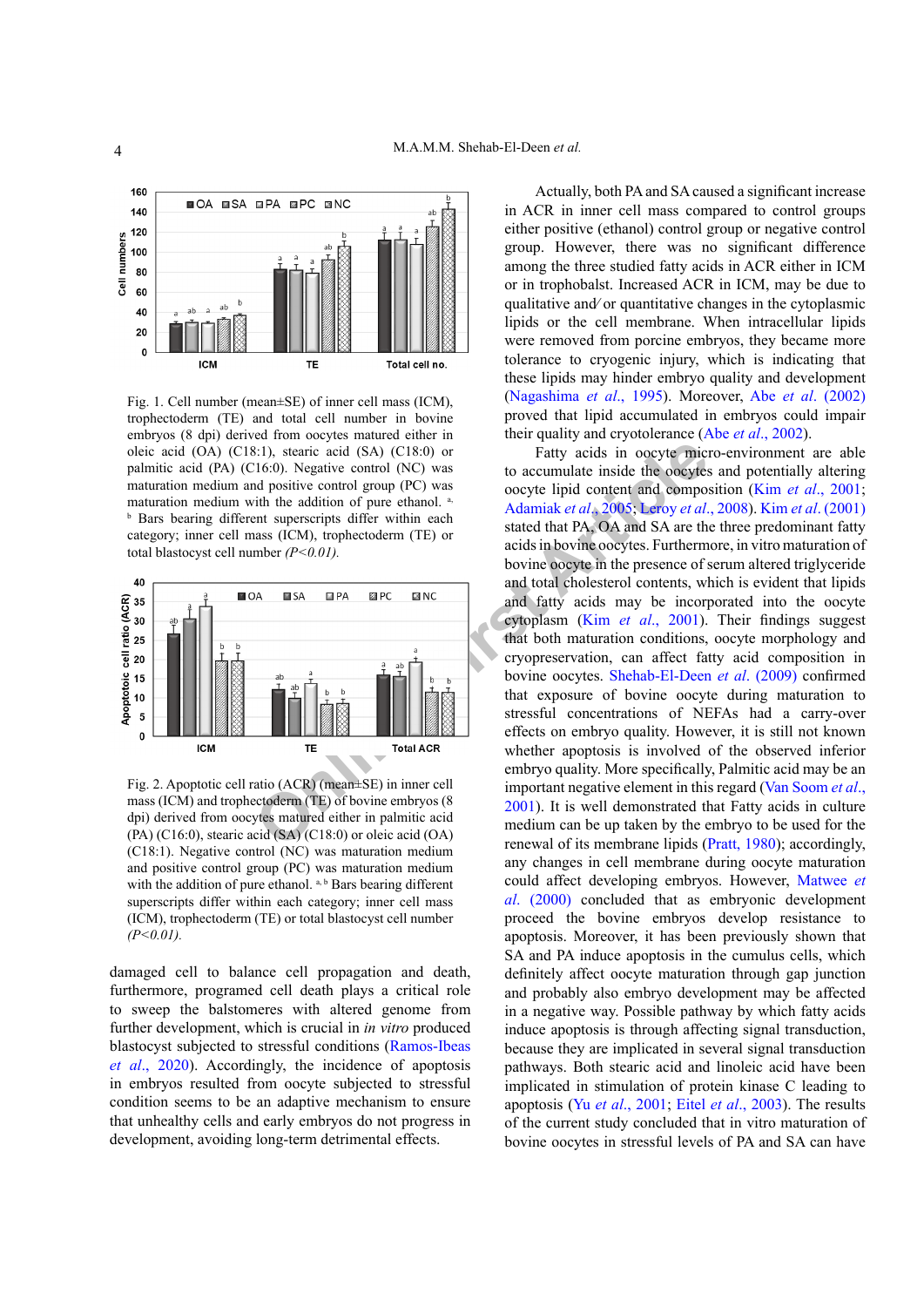

<span id="page-3-0"></span>Fig. 1. Cell number (mean±SE) of inner cell mass (ICM), trophectoderm (TE) and total cell number in bovine embryos (8 dpi) derived from oocytes matured either in oleic acid (OA) (C18:1), stearic acid (SA) (C18:0) or palmitic acid (PA) (C16:0). Negative control (NC) was maturation medium and positive control group (PC) was maturation medium with the addition of pure ethanol. a, **b** Bars bearing different superscripts differ within each category; inner cell mass (ICM), trophectoderm (TE) or total blastocyst cell number *(P<0.01).*



<span id="page-3-1"></span>Fig. 2. Apoptotic cell ratio (ACR) (mean±SE) in inner cell mass (ICM) and trophectoderm (TE) of bovine embryos (8 dpi) derived from oocytes matured either in palmitic acid (PA) (C16:0), stearic acid (SA) (C18:0) or oleic acid (OA) (C18:1). Negative control (NC) was maturation medium and positive control group (PC) was maturation medium with the addition of pure ethanol. a, b Bars bearing different superscripts differ within each category; inner cell mass (ICM), trophectoderm (TE) or total blastocyst cell number *(P<0.01).*

damaged cell to balance cell propagation and death, furthermore, programed cell death plays a critical role to sweep the balstomeres with altered genome from further development, which is crucial in *in vitro* produced blastocyst subjected to stressful conditions (Ramos-Ibeas *et al*., 2020). Accordingly, the incidence of apoptosis in embryos resulted from oocyte subjected to stressful condition seems to be an adaptive mechanism to ensure that unhealthy cells and early embryos do not progress in development, avoiding long-term detrimental effects.

Actually, both PA and SA caused a significant increase in ACR in inner cell mass compared to control groups either positive (ethanol) control group or negative control group. However, there was no significant difference among the three studied fatty acids in ACR either in ICM or in trophobalst. Increased ACR in ICM, may be due to qualitative and⁄ or quantitative changes in the cytoplasmic lipids or the cell membrane. When intracellular lipids were removed from porcine embryos, they became more tolerance to cryogenic injury, which is indicating that these lipids may hinder embryo quality and development [\(Nagashima](#page-4-10) *et al*., 1995). Moreover, Abe *et al*[. \(2002\)](#page-4-11)  proved that lipid accumulated in embryos could impair their quality and cryotolerance (Abe *et al*[., 2002\)](#page-4-11).

**S1)**, steari[c](#page-4-14) acid (SA) (CIS:0) or<br> **CEO**, Nega[ti](#page-4-13)ve control (NC) was<br>
to accumulate inside the occytes<br>
only are the socyte lipid content and composition<br>
only are the socyte lipid content and composition<br>
and position o Fatty acids in oocyte micro-environment are able to accumulate inside the oocytes and potentially altering oocyte lipid content and composition (Kim *et al*[., 2001](#page-4-12); Adamiak *et al*., 2005; Leroy *et al*., 2008). Kim *et al*[. \(2001\)](#page-4-12)  stated that PA, OA and SA are the three predominant fatty acids in bovine oocytes. Furthermore, in vitro maturation of bovine oocyte in the presence of serum altered triglyceride and total cholesterol contents, which is evident that lipids and fatty acids may be incorporated into the oocyte cytoplasm (Kim *et al*., 2001). Their findings suggest that both maturation conditions, oocyte morphology and cryopreservation, can affect fatty acid composition in bovine oocytes. Shehab-El-Deen *et al*. (2009) confirmed that exposure of bovine oocyte during maturation to stressful concentrations of NEFAs had a carry-over effects on embryo quality. However, it is still not known whether apoptosis is involved of the observed inferior embryo quality. More specifically, Palmitic acid may be an important negative element in this regard ([Van Soom](#page-5-10) *et al*., 2001). It is well demonstrated that Fatty acids in culture medium can be up taken by the embryo to be used for the renewal of its membrane lipids ([Pratt, 1980](#page-5-11)); accordingly, any changes in cell membrane during oocyte maturation could affect developing embryos. However, [Matwee](#page-4-9) *et al*[. \(2000\)](#page-4-9) concluded that as embryonic development proceed the bovine embryos develop resistance to apoptosis. Moreover, it has been previously shown that SA and PA induce apoptosis in the cumulus cells, which definitely affect oocyte maturation through gap junction and probably also embryo development may be affected in a negative way. Possible pathway by which fatty acids induce apoptosis is through affecting signal transduction, because they are implicated in several signal transduction pathways. Both stearic acid and linoleic acid have been implicated in stimulation of protein kinase C leading to apoptosis (Yu *et al*[., 2001;](#page-5-12) Eitel *et al*., 2003). The results of the current study concluded that in vitro maturation of bovine oocytes in stressful levels of PA and SA can have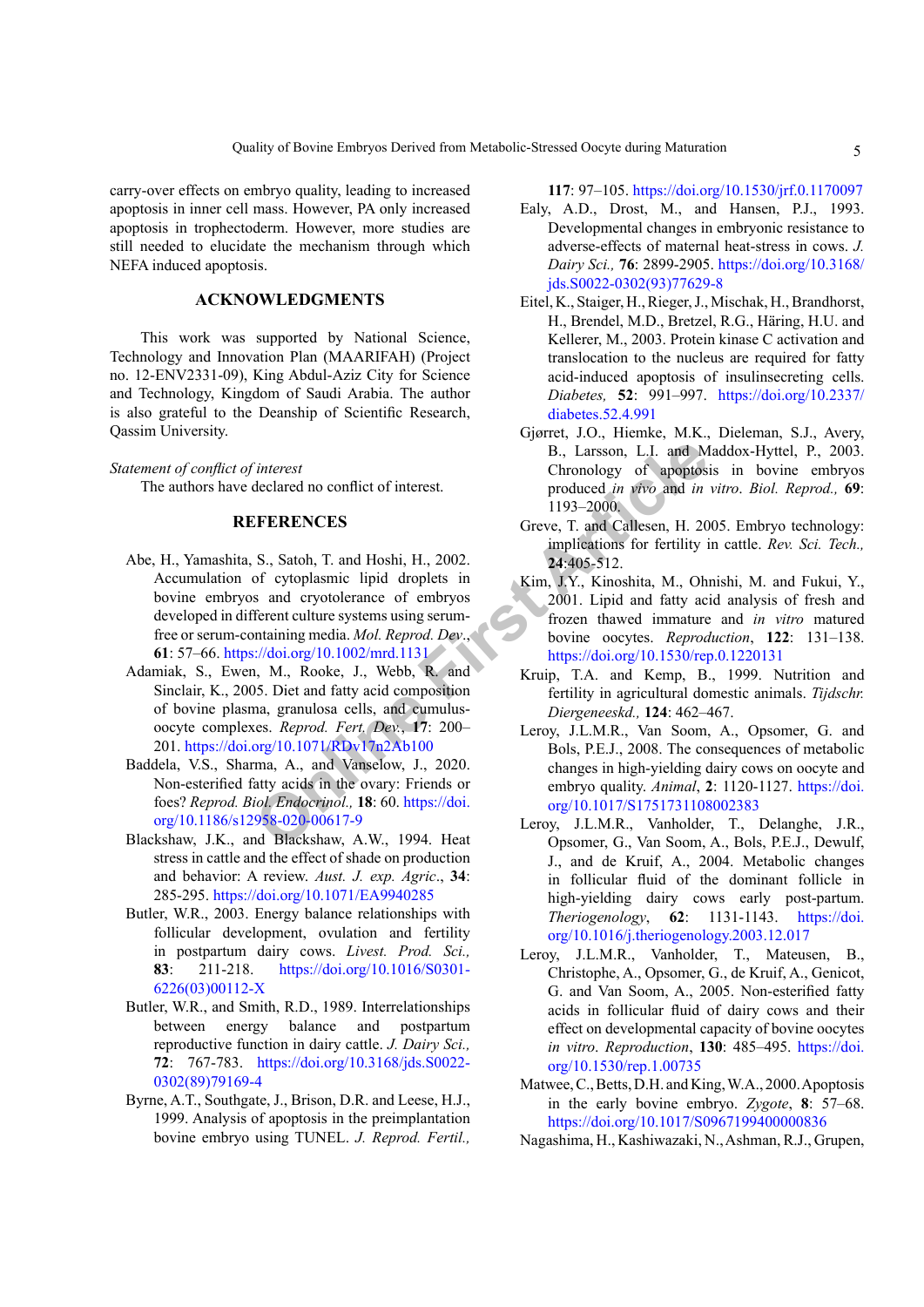carry-over effects on embryo quality, leading to increased apoptosis in inner cell mass. However, PA only increased apoptosis in trophectoderm. However, more studies are still needed to elucidate the mechanism through which NEFA induced apoptosis.

# **ACKNOWLEDGMENTS**

This work was supported by National Science, Technology and Innovation Plan (MAARIFAH) (Project no. 12-ENV2331-09), King Abdul-Aziz City for Science and Technology, Kingdom of Saudi Arabia. The author is also grateful to the Deanship of Scientific Research, Qassim University.

<span id="page-4-11"></span>*Statement of conflict of interest* The authors have declared no conflict of interest.

# **REFERENCES**

- The Controllation of the conflict of interest<br> **Chronology of apoptos**<br> **Chronology of apoptos**<br> **Chronology of apoptosic produced in vivo and in**<br> **Chronology of apoptosical produced in vivo and in**<br> **Chronology of apopto** Abe, H., Yamashita, S., Satoh, T. and Hoshi, H., 2002. Accumulation of cytoplasmic lipid droplets in bovine embryos and cryotolerance of embryos developed in different culture systems using serumfree or serum-containing media. *Mol. Reprod. Dev*., **61**: 57–66. https://doi.org/10.1002/mrd.1131
- <span id="page-4-13"></span>Adamiak, S., Ewen, M., Rooke, J., Webb, R. and Sinclair, K., 2005. Diet and fatty acid composition of bovine plasma, granulosa cells, and cumulusoocyte complexes. *Reprod. Fert. Dev.*, **17**: 200– 201.<https://doi.org/10.1071/RDv17n2Ab100>
- <span id="page-4-7"></span>Baddela, V.S., Sharma, A., and Vanselow, J., 2020. Non-esterified fatty acids in the ovary: Friends or foes? *Reprod. Biol. Endocrinol.,* **18**: 60. https://doi. [org/10.1186/s12958-020-00617-9](https://doi.org/10.1186/s12958-020-00617-9)
- <span id="page-4-1"></span>Blackshaw, J.K., and Blackshaw, A.W., 1994. Heat stress in cattle and the effect of shade on production and behavior: A review. *Aust. J. exp. Agric*., **34**: 285-295.<https://doi.org/10.1071/EA9940285>
- <span id="page-4-2"></span>Butler, W.R., 2003. Energy balance relationships with follicular development, ovulation and fertility in postpartum dairy cows. *Livest. Prod. Sci.,* **83**: 211-218. [https://doi.org/10.1016/S0301-](https://doi.org/10.1016/S0301-6226(03)00112-X) [6226\(03\)00112-X](https://doi.org/10.1016/S0301-6226(03)00112-X)
- <span id="page-4-5"></span>Butler, W.R., and Smith, R.D., 1989. Interrelationships between energy balance and postpartum reproductive function in dairy cattle. *J. Dairy Sci.,* **72**: 767-783. [https://doi.org/10.3168/jds.S0022-](https://doi.org/10.3168/jds.S0022-0302(89)79169-4) [0302\(89\)79169-4](https://doi.org/10.3168/jds.S0022-0302(89)79169-4)
- <span id="page-4-8"></span>Byrne, A.T., Southgate, J., Brison, D.R. and Leese, H.J., 1999. Analysis of apoptosis in the preimplantation bovine embryo using TUNEL. *J. Reprod. Fertil.,*

<span id="page-4-0"></span>**117**: 97–105. <https://doi.org/10.1530/jrf.0.1170097>

- Ealy, A.D., Drost, M., and Hansen, P.J., 1993. Developmental changes in embryonic resistance to adverse-effects of maternal heat-stress in cows. *J. Dairy Sci.,* **76**: 2899-2905. [https://doi.org/10.3168/](https://doi.org/10.3168/jds.S0022-0302(93)77629-8) [jds.S0022-0302\(93\)77629-8](https://doi.org/10.3168/jds.S0022-0302(93)77629-8)
- Eitel, K., Staiger, H., Rieger, J., Mischak, H., Brandhorst, H., Brendel, M.D., Bretzel, R.G., Häring, H.U. and Kellerer, M., 2003. Protein kinase C activation and translocation to the nucleus are required for fatty acid-induced apoptosis of insulinsecreting cells. *Diabetes,* **52**: 991–997. [https://doi.org/10.2337/](https://doi.org/10.2337/diabetes.52.4.991) [diabetes.52.4.991](https://doi.org/10.2337/diabetes.52.4.991)
- Gjørret, J.O., Hiemke, M.K., Dieleman, S.J., Avery, B., Larsson, L.I. and Maddox-Hyttel, P., 2003. Chronology of apoptosis in bovine embryos produced *in vivo* and *in vitro*. *Biol. Reprod.,* **69**: 1193–2000.
- <span id="page-4-4"></span>Greve, T. and Callesen, H. 2005. Embryo technology: implications for fertility in cattle. *Rev. Sci. Tech.,*  **24**:405-512.
- <span id="page-4-12"></span>Kim, J.Y., Kinoshita, M., Ohnishi, M. and Fukui, Y., 2001. Lipid and fatty acid analysis of fresh and frozen thawed immature and *in vitro* matured bovine oocytes. *Reproduction*, **122**: 131–138. <https://doi.org/10.1530/rep.0.1220131>
- Kruip, T.A. and Kemp, B., 1999. Nutrition and fertility in agricultural domestic animals. *Tijdschr. Diergeneeskd.,* **124**: 462–467.
- <span id="page-4-14"></span>Leroy, J.L.M.R., Van Soom, A., Opsomer, G. and Bols, P.E.J., 2008. The consequences of metabolic changes in high-yielding dairy cows on oocyte and embryo quality. *Animal*, **2**: 1120-1127. [https://doi.](https://doi.org/10.1017/S1751731108002383) org/10.1017/S1751731108002383
- <span id="page-4-3"></span>Leroy, J.L.M.R., Vanholder, T., Delanghe, J.R., Opsomer, G., Van Soom, A., Bols, P.E.J., Dewulf, J., and de Kruif, A., 2004. Metabolic changes in follicular fluid of the dominant follicle in high-yielding dairy cows early post-partum. *Theriogenology*, **62**: 1131-1143. [https://doi.](https://doi.org/10.1016/j.theriogenology.2003.12.017) [org/10.1016/j.theriogenology.2003.12.017](https://doi.org/10.1016/j.theriogenology.2003.12.017)
- <span id="page-4-6"></span>Leroy, J.L.M.R., Vanholder, T., Mateusen, B., Christophe, A., Opsomer, G., de Kruif, A., Genicot, G. and Van Soom, A., 2005. Non-esterified fatty acids in follicular fluid of dairy cows and their effect on developmental capacity of bovine oocytes *in vitro*. *Reproduction*, **130**: 485–495. [https://doi.](https://doi.org/10.1530/rep.1.00735) [org/10.1530/rep.1.00735](https://doi.org/10.1530/rep.1.00735)
- <span id="page-4-9"></span>Matwee, C., Betts, D.H. and King, W.A., 2000. Apoptosis in the early bovine embryo. *Zygote*, **8**: 57–68. <https://doi.org/10.1017/S0967199400000836>
- <span id="page-4-10"></span>Nagashima, H., Kashiwazaki, N., Ashman, R.J., Grupen,